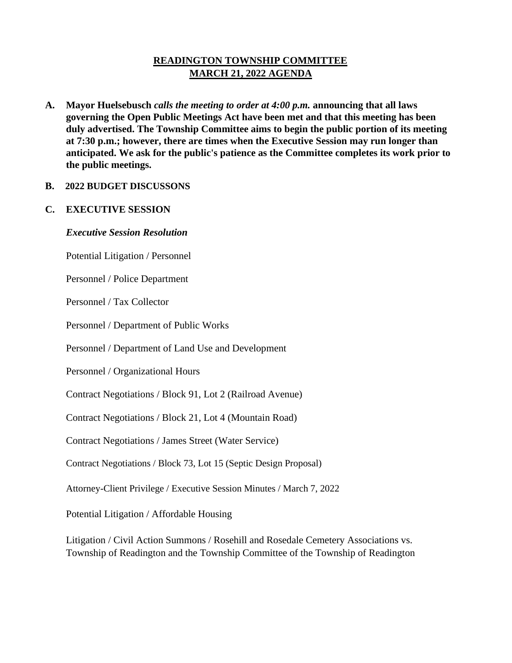# **READINGTON TOWNSHIP COMMITTEE MARCH 21, 2022 AGENDA**

**A. Mayor Huelsebusch** *calls the meeting to order at 4:00 p.m.* **announcing that all laws governing the Open Public Meetings Act have been met and that this meeting has been duly advertised. The Township Committee aims to begin the public portion of its meeting at 7:30 p.m.; however, there are times when the Executive Session may run longer than anticipated. We ask for the public's patience as the Committee completes its work prior to the public meetings.**

### **B. 2022 BUDGET DISCUSSONS**

### **C. EXECUTIVE SESSION**

#### *Executive Session Resolution*

Potential Litigation / Personnel

Personnel / Police Department

Personnel / Tax Collector

Personnel / Department of Public Works

Personnel / Department of Land Use and Development

Personnel / Organizational Hours

Contract Negotiations / Block 91, Lot 2 (Railroad Avenue)

Contract Negotiations / Block 21, Lot 4 (Mountain Road)

Contract Negotiations / James Street (Water Service)

Contract Negotiations / Block 73, Lot 15 (Septic Design Proposal)

Attorney-Client Privilege / Executive Session Minutes / March 7, 2022

Potential Litigation / Affordable Housing

Litigation / Civil Action Summons / Rosehill and Rosedale Cemetery Associations vs. Township of Readington and the Township Committee of the Township of Readington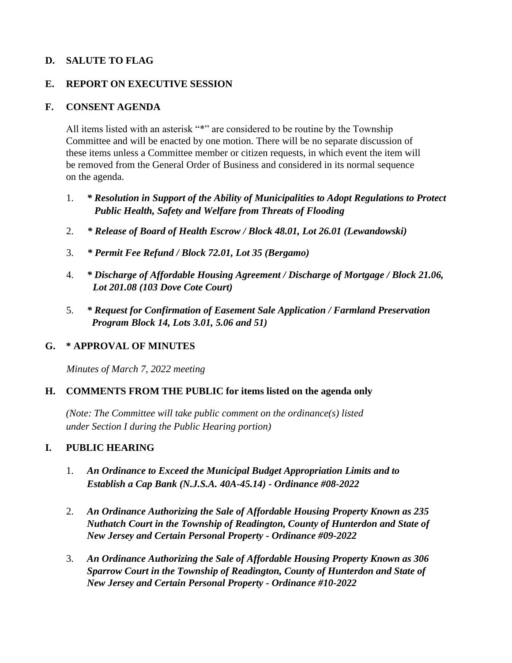# **D. SALUTE TO FLAG**

### **E. REPORT ON EXECUTIVE SESSION**

# **F. CONSENT AGENDA**

All items listed with an asterisk "\*" are considered to be routine by the Township Committee and will be enacted by one motion. There will be no separate discussion of these items unless a Committee member or citizen requests, in which event the item will be removed from the General Order of Business and considered in its normal sequence on the agenda.

- 1. *\* Resolution in Support of the Ability of Municipalities to Adopt Regulations to Protect Public Health, Safety and Welfare from Threats of Flooding*
- 2. *\* Release of Board of Health Escrow / Block 48.01, Lot 26.01 (Lewandowski)*
- 3. *\* Permit Fee Refund / Block 72.01, Lot 35 (Bergamo)*
- 4. *\* Discharge of Affordable Housing Agreement / Discharge of Mortgage / Block 21.06, Lot 201.08 (103 Dove Cote Court)*
- 5. *\* Request for Confirmation of Easement Sale Application / Farmland Preservation Program Block 14, Lots 3.01, 5.06 and 51)*

# **G. \* APPROVAL OF MINUTES**

*Minutes of March 7, 2022 meeting* 

# **H. COMMENTS FROM THE PUBLIC for items listed on the agenda only**

*(Note: The Committee will take public comment on the ordinance(s) listed under Section I during the Public Hearing portion)*

# **I. PUBLIC HEARING**

- 1. *An Ordinance to Exceed the Municipal Budget Appropriation Limits and to Establish a Cap Bank (N.J.S.A. 40A-45.14) - Ordinance #08-2022*
- 2. *An Ordinance Authorizing the Sale of Affordable Housing Property Known as 235 Nuthatch Court in the Township of Readington, County of Hunterdon and State of New Jersey and Certain Personal Property - Ordinance #09-2022*
- 3. *An Ordinance Authorizing the Sale of Affordable Housing Property Known as 306 Sparrow Court in the Township of Readington, County of Hunterdon and State of New Jersey and Certain Personal Property - Ordinance #10-2022*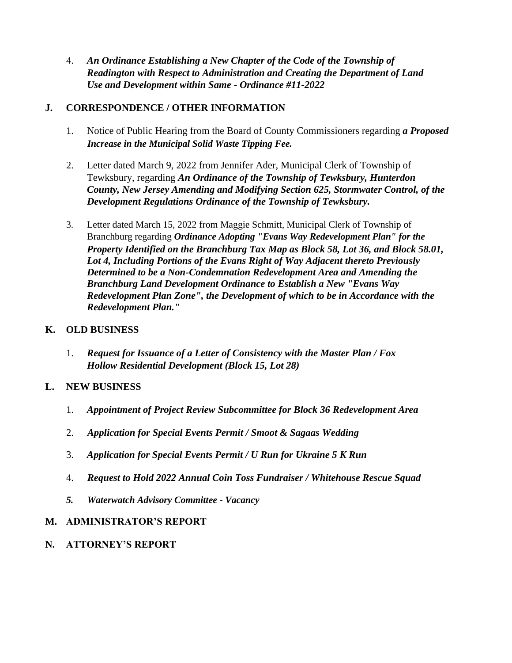4. *An Ordinance Establishing a New Chapter of the Code of the Township of Readington with Respect to Administration and Creating the Department of Land Use and Development within Same - Ordinance #11-2022*

# **J. CORRESPONDENCE / OTHER INFORMATION**

- 1. Notice of Public Hearing from the Board of County Commissioners regarding *a Proposed Increase in the Municipal Solid Waste Tipping Fee.*
- 2. Letter dated March 9, 2022 from Jennifer Ader, Municipal Clerk of Township of Tewksbury, regarding *An Ordinance of the Township of Tewksbury, Hunterdon County, New Jersey Amending and Modifying Section 625, Stormwater Control, of the Development Regulations Ordinance of the Township of Tewksbury.*
- 3. Letter dated March 15, 2022 from Maggie Schmitt, Municipal Clerk of Township of Branchburg regarding *Ordinance Adopting "Evans Way Redevelopment Plan" for the Property Identified on the Branchburg Tax Map as Block 58, Lot 36, and Block 58.01, Lot 4, Including Portions of the Evans Right of Way Adjacent thereto Previously Determined to be a Non-Condemnation Redevelopment Area and Amending the Branchburg Land Development Ordinance to Establish a New "Evans Way Redevelopment Plan Zone", the Development of which to be in Accordance with the Redevelopment Plan."*

### **K. OLD BUSINESS**

1. *Request for Issuance of a Letter of Consistency with the Master Plan / Fox Hollow Residential Development (Block 15, Lot 28)*

# **L. NEW BUSINESS**

- 1. *Appointment of Project Review Subcommittee for Block 36 Redevelopment Area*
- 2. *Application for Special Events Permit / Smoot & Sagaas Wedding*
- 3. *Application for Special Events Permit / U Run for Ukraine 5 K Run*
- 4. *Request to Hold 2022 Annual Coin Toss Fundraiser / Whitehouse Rescue Squad*
- *5. Waterwatch Advisory Committee - Vacancy*

# **M. ADMINISTRATOR'S REPORT**

**N. ATTORNEY'S REPORT**